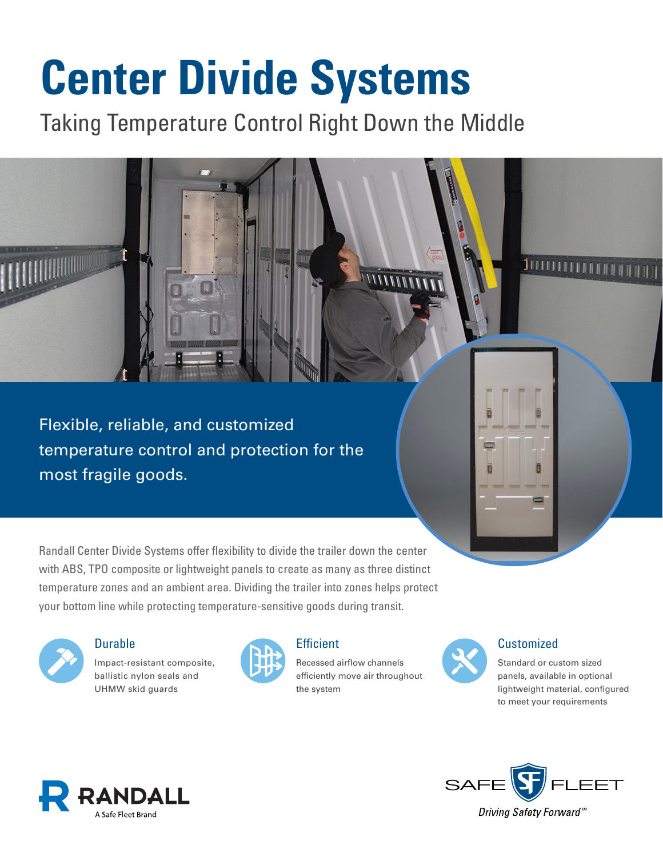# **Center Divide Systems**

Taking Temperature Control Right Down the Middle

Flexible, reliable, and customized temperature control and protection for the most fragile goods.

Randall Center Divide Systems offer flexibility to divide the trailer down the center with ABS, TPO composite or lightweight panels to create as many as three distinct temperature zones and an ambient area. Dividing the trailer into zones helps protect your bottom line while protecting temperature-sensitive goods during transit.



**HIIHHIIII** 

#### **Durable**

Impact-resistant composite, ballistic nylon seals and UHMW skid guards



## **Efficient**

Recessed airflow channels efficiently move air throughout the system

 $11111$ 



## **Customized**

ווווונ

Standard or custom sized panels, available in optional lightweight material, configured to meet your requirements





Driving Safety Forward™